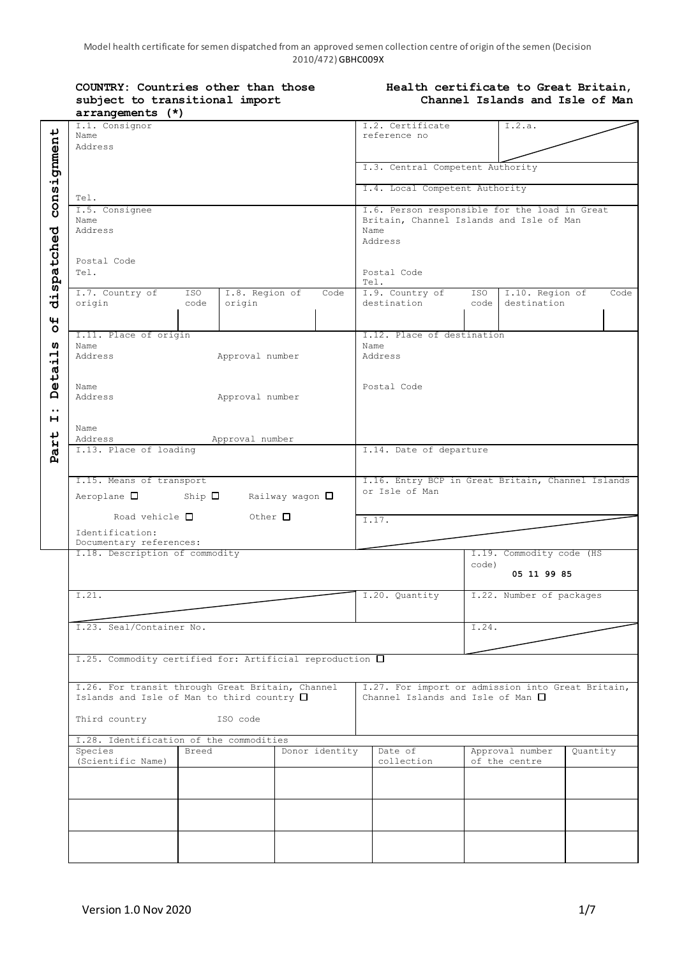| COUNTRY: Countries other than those |
|-------------------------------------|
| subject to transitional import      |
| $arrangements (*)$                  |

### **Health certificate to Great Britain, Channel Islands and Isle of Man**

|                                                | arrangements (")                                                                                                                              |                                                                                                              |      |                                                                     |             |                                  |          |      |
|------------------------------------------------|-----------------------------------------------------------------------------------------------------------------------------------------------|--------------------------------------------------------------------------------------------------------------|------|---------------------------------------------------------------------|-------------|----------------------------------|----------|------|
| consignment                                    | I.1. Consignor<br>Name<br>Address                                                                                                             |                                                                                                              |      | I.2. Certificate<br>reference no                                    |             | I.2.a.                           |          |      |
|                                                |                                                                                                                                               |                                                                                                              |      | I.3. Central Competent Authority                                    |             |                                  |          |      |
|                                                | Tel.                                                                                                                                          | I.4. Local Competent Authority                                                                               |      |                                                                     |             |                                  |          |      |
|                                                | I.5. Consignee<br>Name<br>Address                                                                                                             | I.6. Person responsible for the load in Great<br>Britain, Channel Islands and Isle of Man<br>Name<br>Address |      |                                                                     |             |                                  |          |      |
| dispatched                                     | Postal Code<br>Tel.                                                                                                                           |                                                                                                              |      | Postal Code<br>Tel.                                                 |             |                                  |          |      |
| $\mathbf{H}$                                   | I.7. Country of<br>ISO<br>origin<br>code                                                                                                      | I.8. Region of<br>origin                                                                                     | Code | I.9. Country of<br>destination                                      | ISO<br>code | I.10. Region of<br>destination   |          | Code |
| $\circ$                                        |                                                                                                                                               |                                                                                                              |      |                                                                     |             |                                  |          |      |
|                                                | I.11. Place of origin                                                                                                                         |                                                                                                              |      | I.12. Place of destination                                          |             |                                  |          |      |
| w<br>ᆏ<br>٠H<br>$t\overline{a}$                | Name<br>Address<br>Approval number                                                                                                            |                                                                                                              |      | Name<br>Address                                                     |             |                                  |          |      |
| $\pmb{\mathsf{U}}$<br>Ă<br>$\bullet$ $\bullet$ | Name<br>Address                                                                                                                               | Postal Code                                                                                                  |      |                                                                     |             |                                  |          |      |
| н<br>Part                                      | Name<br>Address<br>Approval number                                                                                                            |                                                                                                              |      |                                                                     |             |                                  |          |      |
|                                                | I.13. Place of loading                                                                                                                        |                                                                                                              |      | I.14. Date of departure                                             |             |                                  |          |      |
|                                                |                                                                                                                                               |                                                                                                              |      |                                                                     |             |                                  |          |      |
|                                                | I.15. Means of transport<br>Aeroplane $\square$ Ship $\square$ Railway wagon $\square$<br>Road vehicle $\Box$ Other $\Box$<br>Identification: |                                                                                                              |      | I.16. Entry BCP in Great Britain, Channel Islands<br>or Isle of Man |             |                                  |          |      |
|                                                |                                                                                                                                               |                                                                                                              |      | $\overline{1.17}$ .                                                 |             |                                  |          |      |
|                                                | Documentary references:<br>I.18. Description of commodity                                                                                     |                                                                                                              |      |                                                                     |             | I.19. Commodity code (HS         |          |      |
|                                                |                                                                                                                                               |                                                                                                              |      |                                                                     | code)       | 05 11 99 85                      |          |      |
|                                                | 1.21.                                                                                                                                         |                                                                                                              |      | I.20. Quantity                                                      |             | I.22. Number of packages         |          |      |
|                                                | I.23. Seal/Container No.                                                                                                                      |                                                                                                              |      |                                                                     | I.24.       |                                  |          |      |
|                                                | I.25. Commodity certified for: Artificial reproduction □                                                                                      |                                                                                                              |      |                                                                     |             |                                  |          |      |
|                                                | I.26. For transit through Great Britain, Channel<br>Islands and Isle of Man to third country $\square$                                        | I.27. For import or admission into Great Britain,<br>Channel Islands and Isle of Man $\square$               |      |                                                                     |             |                                  |          |      |
|                                                | Third country<br>ISO code<br>I.28. Identification of the commodities                                                                          |                                                                                                              |      |                                                                     |             |                                  |          |      |
|                                                |                                                                                                                                               |                                                                                                              |      |                                                                     |             |                                  |          |      |
|                                                | Donor identity<br>Species<br>Breed<br>(Scientific Name)                                                                                       |                                                                                                              |      | Date of<br>collection                                               |             | Approval number<br>of the centre | Quantity |      |
|                                                |                                                                                                                                               |                                                                                                              |      |                                                                     |             |                                  |          |      |
|                                                |                                                                                                                                               |                                                                                                              |      |                                                                     |             |                                  |          |      |
|                                                |                                                                                                                                               |                                                                                                              |      |                                                                     |             |                                  |          |      |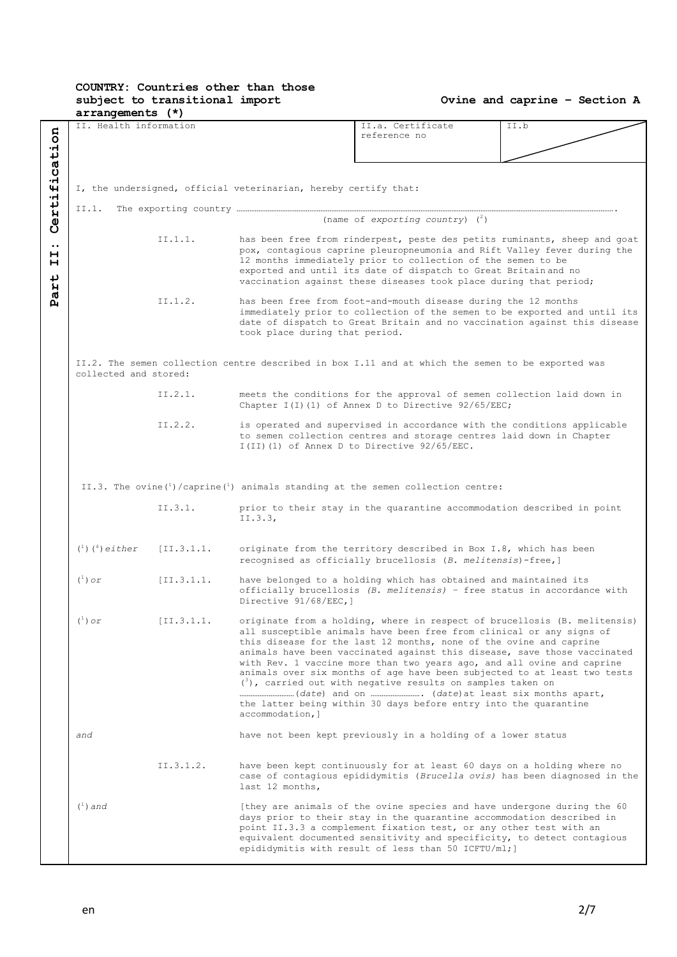# **COUNTRY: Countries other than those subject to transitional import**

| $arrangements$ $(*)$                       |                                                                                                                            |                                                                                                                                         |                                                                                                                                                                                                                                                                                                                                                               |                                                                                                                                                                                                                                                                                                                                                                                                                                                                                                                                                                                                |                                                                           |  |  |
|--------------------------------------------|----------------------------------------------------------------------------------------------------------------------------|-----------------------------------------------------------------------------------------------------------------------------------------|---------------------------------------------------------------------------------------------------------------------------------------------------------------------------------------------------------------------------------------------------------------------------------------------------------------------------------------------------------------|------------------------------------------------------------------------------------------------------------------------------------------------------------------------------------------------------------------------------------------------------------------------------------------------------------------------------------------------------------------------------------------------------------------------------------------------------------------------------------------------------------------------------------------------------------------------------------------------|---------------------------------------------------------------------------|--|--|
| ertification                               | II. Health information                                                                                                     |                                                                                                                                         |                                                                                                                                                                                                                                                                                                                                                               | II.a. Certificate<br>reference no                                                                                                                                                                                                                                                                                                                                                                                                                                                                                                                                                              | II.b                                                                      |  |  |
|                                            | I, the undersigned, official veterinarian, hereby certify that:                                                            |                                                                                                                                         |                                                                                                                                                                                                                                                                                                                                                               |                                                                                                                                                                                                                                                                                                                                                                                                                                                                                                                                                                                                |                                                                           |  |  |
|                                            | II.1.                                                                                                                      |                                                                                                                                         |                                                                                                                                                                                                                                                                                                                                                               | (name of exporting country) $(^2)$                                                                                                                                                                                                                                                                                                                                                                                                                                                                                                                                                             |                                                                           |  |  |
| Ű<br>$\bullet\bullet$<br>н<br>н<br>₽<br>ЯZ |                                                                                                                            | II.1.1.                                                                                                                                 | has been free from rinderpest, peste des petits ruminants, sheep and goat<br>pox, contagious caprine pleuropneumonia and Rift Valley fever during the<br>12 months immediately prior to collection of the semen to be<br>exported and until its date of dispatch to Great Britain and no<br>vaccination against these diseases took place during that period; |                                                                                                                                                                                                                                                                                                                                                                                                                                                                                                                                                                                                |                                                                           |  |  |
| д                                          |                                                                                                                            | II.1.2.                                                                                                                                 | has been free from foot-and-mouth disease during the 12 months<br>immediately prior to collection of the semen to be exported and until its<br>date of dispatch to Great Britain and no vaccination against this disease<br>took place during that period.                                                                                                    |                                                                                                                                                                                                                                                                                                                                                                                                                                                                                                                                                                                                |                                                                           |  |  |
|                                            | II.2. The semen collection centre described in box I.11 and at which the semen to be exported was<br>collected and stored: |                                                                                                                                         |                                                                                                                                                                                                                                                                                                                                                               |                                                                                                                                                                                                                                                                                                                                                                                                                                                                                                                                                                                                |                                                                           |  |  |
|                                            |                                                                                                                            | II.2.1.<br>meets the conditions for the approval of semen collection laid down in<br>Chapter I(I)(1) of Annex D to Directive 92/65/EEC; |                                                                                                                                                                                                                                                                                                                                                               |                                                                                                                                                                                                                                                                                                                                                                                                                                                                                                                                                                                                |                                                                           |  |  |
|                                            |                                                                                                                            | II.2.2.                                                                                                                                 |                                                                                                                                                                                                                                                                                                                                                               | is operated and supervised in accordance with the conditions applicable<br>to semen collection centres and storage centres laid down in Chapter<br>I(II)(1) of Annex D to Directive 92/65/EEC.                                                                                                                                                                                                                                                                                                                                                                                                 |                                                                           |  |  |
|                                            | II.3. The ovine $\binom{1}{1}$ / caprine $\binom{1}{1}$ animals standing at the semen collection centre:                   |                                                                                                                                         |                                                                                                                                                                                                                                                                                                                                                               |                                                                                                                                                                                                                                                                                                                                                                                                                                                                                                                                                                                                |                                                                           |  |  |
|                                            |                                                                                                                            | II.3.1.                                                                                                                                 | II.3.3,                                                                                                                                                                                                                                                                                                                                                       | prior to their stay in the quarantine accommodation described in point                                                                                                                                                                                                                                                                                                                                                                                                                                                                                                                         |                                                                           |  |  |
|                                            | $({}^{1})$ $({}^{4})$ either                                                                                               | [II.3.1.1.                                                                                                                              |                                                                                                                                                                                                                                                                                                                                                               | originate from the territory described in Box I.8, which has been<br>recognised as officially brucellosis (B. melitensis)-free,]                                                                                                                                                                                                                                                                                                                                                                                                                                                               |                                                                           |  |  |
|                                            | $(^1)$ or                                                                                                                  | [II.3.1.1.                                                                                                                              | Directive 91/68/EEC, ]                                                                                                                                                                                                                                                                                                                                        | have belonged to a holding which has obtained and maintained its<br>officially brucellosis (B. melitensis) - free status in accordance with                                                                                                                                                                                                                                                                                                                                                                                                                                                    |                                                                           |  |  |
|                                            | $(^{+})$ or                                                                                                                | [II.3.1.1]                                                                                                                              | accommodation, ]                                                                                                                                                                                                                                                                                                                                              | originate from a holding, where in respect of brucellosis (B. melitensis)<br>all susceptible animals have been free from clinical or any signs of<br>this disease for the last 12 months, none of the ovine and caprine<br>animals have been vaccinated against this disease, save those vaccinated<br>with Rev. 1 vaccine more than two years ago, and all ovine and caprine<br>animals over six months of age have been subjected to at least two tests<br>$(3)$ , carried out with negative results on samples taken on<br>the latter being within 30 days before entry into the quarantine |                                                                           |  |  |
|                                            | and                                                                                                                        |                                                                                                                                         |                                                                                                                                                                                                                                                                                                                                                               | have not been kept previously in a holding of a lower status                                                                                                                                                                                                                                                                                                                                                                                                                                                                                                                                   |                                                                           |  |  |
|                                            |                                                                                                                            | II.3.1.2.                                                                                                                               | last 12 months,                                                                                                                                                                                                                                                                                                                                               | have been kept continuously for at least 60 days on a holding where no                                                                                                                                                                                                                                                                                                                                                                                                                                                                                                                         | case of contagious epididymitis (Brucella ovis) has been diagnosed in the |  |  |
|                                            | $(^1)$ and                                                                                                                 |                                                                                                                                         |                                                                                                                                                                                                                                                                                                                                                               | [they are animals of the ovine species and have undergone during the 60<br>days prior to their stay in the quarantine accommodation described in<br>point II.3.3 a complement fixation test, or any other test with an<br>equivalent documented sensitivity and specificity, to detect contagious<br>epididymitis with result of less than 50 ICFTU/ml; ]                                                                                                                                                                                                                                      |                                                                           |  |  |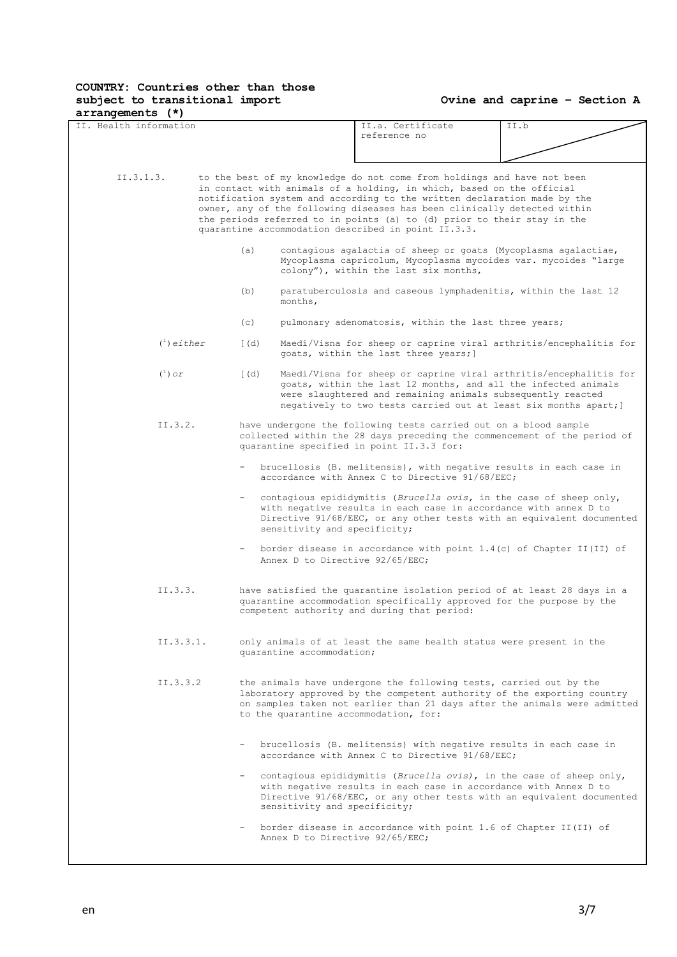| arrangements (7)<br>IT. Health information |              |                              | II.a. Certificate                                                                                                                                                                                                                                                                                                                                                                                                                          | II.b                                                                                                                                                 |
|--------------------------------------------|--------------|------------------------------|--------------------------------------------------------------------------------------------------------------------------------------------------------------------------------------------------------------------------------------------------------------------------------------------------------------------------------------------------------------------------------------------------------------------------------------------|------------------------------------------------------------------------------------------------------------------------------------------------------|
|                                            |              |                              | reference no                                                                                                                                                                                                                                                                                                                                                                                                                               |                                                                                                                                                      |
|                                            |              |                              |                                                                                                                                                                                                                                                                                                                                                                                                                                            |                                                                                                                                                      |
| II.3.1.3.                                  |              |                              | to the best of my knowledge do not come from holdings and have not been<br>in contact with animals of a holding, in which, based on the official<br>notification system and according to the written declaration made by the<br>owner, any of the following diseases has been clinically detected within<br>the periods referred to in points (a) to (d) prior to their stay in the<br>quarantine accommodation described in point II.3.3. |                                                                                                                                                      |
|                                            | (a)          |                              | contagious agalactia of sheep or goats (Mycoplasma agalactiae,<br>Mycoplasma capricolum, Mycoplasma mycoides var. mycoides "large<br>colony"), within the last six months,                                                                                                                                                                                                                                                                 |                                                                                                                                                      |
|                                            | (b)          | months,                      | paratuberculosis and caseous lymphadenitis, within the last 12                                                                                                                                                                                                                                                                                                                                                                             |                                                                                                                                                      |
|                                            | (c)          |                              | pulmonary adenomatosis, within the last three years;                                                                                                                                                                                                                                                                                                                                                                                       |                                                                                                                                                      |
| $\binom{1}{1}$ either                      | $\lceil$ (d) |                              | goats, within the last three years; ]                                                                                                                                                                                                                                                                                                                                                                                                      | Maedi/Visna for sheep or caprine viral arthritis/encephalitis for                                                                                    |
| $(^1)$ or                                  | $\lceil$ (d) |                              | goats, within the last 12 months, and all the infected animals<br>were slaughtered and remaining animals subsequently reacted<br>negatively to two tests carried out at least six months apart; ]                                                                                                                                                                                                                                          | Maedi/Visna for sheep or caprine viral arthritis/encephalitis for                                                                                    |
| II.3.2.                                    |              |                              | have undergone the following tests carried out on a blood sample<br>quarantine specified in point II.3.3 for:                                                                                                                                                                                                                                                                                                                              | collected within the 28 days preceding the commencement of the period of                                                                             |
|                                            |              |                              | brucellosis (B. melitensis), with negative results in each case in<br>accordance with Annex C to Directive 91/68/EEC;                                                                                                                                                                                                                                                                                                                      |                                                                                                                                                      |
|                                            |              | sensitivity and specificity; | contagious epididymitis (Brucella ovis, in the case of sheep only,<br>with negative results in each case in accordance with annex D to                                                                                                                                                                                                                                                                                                     | Directive 91/68/EEC, or any other tests with an equivalent documented                                                                                |
|                                            |              |                              | Annex D to Directive 92/65/EEC;                                                                                                                                                                                                                                                                                                                                                                                                            | border disease in accordance with point $1.4(c)$ of Chapter II(II) of                                                                                |
| II.3.3.                                    |              |                              | quarantine accommodation specifically approved for the purpose by the<br>competent authority and during that period:                                                                                                                                                                                                                                                                                                                       | have satisfied the quarantine isolation period of at least 28 days in a                                                                              |
| II.3.3.1.                                  |              | quarantine accommodation;    | only animals of at least the same health status were present in the                                                                                                                                                                                                                                                                                                                                                                        |                                                                                                                                                      |
| II.3.3.2                                   |              |                              | the animals have undergone the following tests, carried out by the<br>to the quarantine accommodation, for:                                                                                                                                                                                                                                                                                                                                | laboratory approved by the competent authority of the exporting country<br>on samples taken not earlier than 21 days after the animals were admitted |
|                                            |              |                              | brucellosis (B. melitensis) with negative results in each case in<br>accordance with Annex C to Directive 91/68/EEC:                                                                                                                                                                                                                                                                                                                       |                                                                                                                                                      |
|                                            |              | sensitivity and specificity; | - contagious epididymitis (Brucella ovis), in the case of sheep only,<br>with negative results in each case in accordance with Annex D to                                                                                                                                                                                                                                                                                                  | Directive 91/68/EEC, or any other tests with an equivalent documented                                                                                |
|                                            |              |                              | border disease in accordance with point 1.6 of Chapter II(II) of<br>Annex D to Directive 92/65/EEC;                                                                                                                                                                                                                                                                                                                                        |                                                                                                                                                      |
|                                            |              |                              |                                                                                                                                                                                                                                                                                                                                                                                                                                            |                                                                                                                                                      |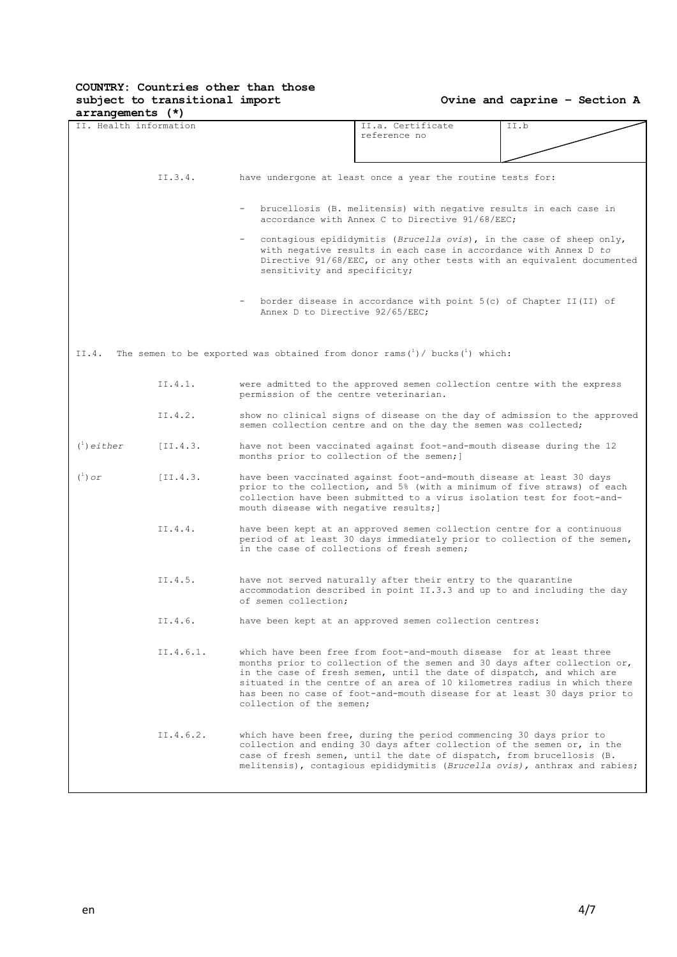| arrangements (^)       |           |                                                                                                                                                                                                                                                  |                                                                                                                                                                                                                                                                                                                                                                                  |                                                                           |  |  |
|------------------------|-----------|--------------------------------------------------------------------------------------------------------------------------------------------------------------------------------------------------------------------------------------------------|----------------------------------------------------------------------------------------------------------------------------------------------------------------------------------------------------------------------------------------------------------------------------------------------------------------------------------------------------------------------------------|---------------------------------------------------------------------------|--|--|
| II. Health information |           |                                                                                                                                                                                                                                                  | II.a. Certificate<br>reference no                                                                                                                                                                                                                                                                                                                                                | II.b                                                                      |  |  |
|                        |           |                                                                                                                                                                                                                                                  |                                                                                                                                                                                                                                                                                                                                                                                  |                                                                           |  |  |
|                        | II.3.4.   | have undergone at least once a year the routine tests for:                                                                                                                                                                                       |                                                                                                                                                                                                                                                                                                                                                                                  |                                                                           |  |  |
|                        |           | brucellosis (B. melitensis) with negative results in each case in<br>accordance with Annex C to Directive 91/68/EEC;                                                                                                                             |                                                                                                                                                                                                                                                                                                                                                                                  |                                                                           |  |  |
|                        |           | contagious epididymitis (Brucella ovis), in the case of sheep only,<br>with negative results in each case in accordance with Annex D to<br>Directive 91/68/EEC, or any other tests with an equivalent documented<br>sensitivity and specificity; |                                                                                                                                                                                                                                                                                                                                                                                  |                                                                           |  |  |
|                        |           | border disease in accordance with point 5(c) of Chapter II(II) of<br>Annex D to Directive 92/65/EEC:                                                                                                                                             |                                                                                                                                                                                                                                                                                                                                                                                  |                                                                           |  |  |
| II.4.                  |           |                                                                                                                                                                                                                                                  | The semen to be exported was obtained from donor rams $(1)$ / bucks $(1)$ which:                                                                                                                                                                                                                                                                                                 |                                                                           |  |  |
|                        | II.4.1.   | permission of the centre veterinarian.                                                                                                                                                                                                           | were admitted to the approved semen collection centre with the express                                                                                                                                                                                                                                                                                                           |                                                                           |  |  |
|                        | II.4.2.   |                                                                                                                                                                                                                                                  | semen collection centre and on the day the semen was collected;                                                                                                                                                                                                                                                                                                                  | show no clinical signs of disease on the day of admission to the approved |  |  |
| $\binom{1}{1}$ either  | [II.4.3]  | months prior to collection of the semen; ]                                                                                                                                                                                                       | have not been vaccinated against foot-and-mouth disease during the 12                                                                                                                                                                                                                                                                                                            |                                                                           |  |  |
| $(^1)$ or              | [II.4.3.  | mouth disease with negative results; ]                                                                                                                                                                                                           | have been vaccinated against foot-and-mouth disease at least 30 days<br>prior to the collection, and 5% (with a minimum of five straws) of each<br>collection have been submitted to a virus isolation test for foot-and-                                                                                                                                                        |                                                                           |  |  |
|                        | II.4.4.   |                                                                                                                                                                                                                                                  | have been kept at an approved semen collection centre for a continuous<br>period of at least 30 days immediately prior to collection of the semen,<br>in the case of collections of fresh semen:                                                                                                                                                                                 |                                                                           |  |  |
|                        | II.4.5.   | of semen collection:                                                                                                                                                                                                                             | have not served naturally after their entry to the quarantine<br>accommodation described in point II.3.3 and up to and including the day                                                                                                                                                                                                                                         |                                                                           |  |  |
|                        | II.4.6.   |                                                                                                                                                                                                                                                  | have been kept at an approved semen collection centres:                                                                                                                                                                                                                                                                                                                          |                                                                           |  |  |
|                        | II.4.6.1. | collection of the semen;                                                                                                                                                                                                                         | which have been free from foot-and-mouth disease for at least three<br>months prior to collection of the semen and 30 days after collection or,<br>in the case of fresh semen, until the date of dispatch, and which are<br>situated in the centre of an area of 10 kilometres radius in which there<br>has been no case of foot-and-mouth disease for at least 30 days prior to |                                                                           |  |  |
|                        | II.4.6.2. |                                                                                                                                                                                                                                                  | which have been free, during the period commencing 30 days prior to<br>collection and ending 30 days after collection of the semen or, in the<br>case of fresh semen, until the date of dispatch, from brucellosis (B.<br>melitensis), contagious epididymitis (Brucella ovis), anthrax and rabies;                                                                              |                                                                           |  |  |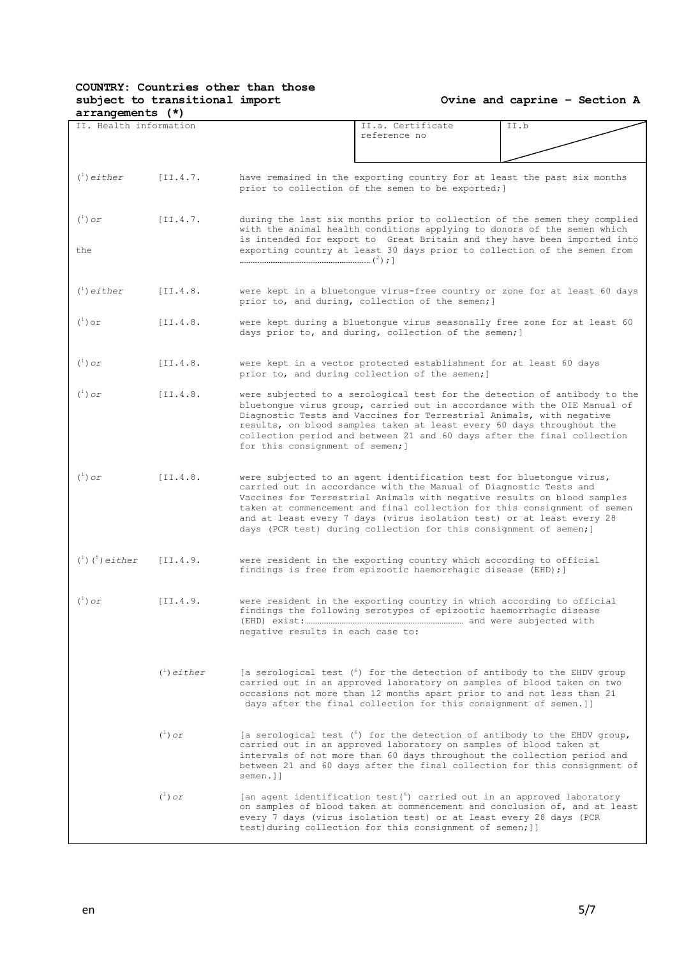| arrangements (")                                |                       |                                                                                                                               |                                                                                                                                                                                                                                                                                                                                                                                                                                                 |                                                                                                                                                       |
|-------------------------------------------------|-----------------------|-------------------------------------------------------------------------------------------------------------------------------|-------------------------------------------------------------------------------------------------------------------------------------------------------------------------------------------------------------------------------------------------------------------------------------------------------------------------------------------------------------------------------------------------------------------------------------------------|-------------------------------------------------------------------------------------------------------------------------------------------------------|
| II. Health information                          |                       |                                                                                                                               | II.a. Certificate<br>reference no                                                                                                                                                                                                                                                                                                                                                                                                               | II.b                                                                                                                                                  |
| $\binom{1}{1}$ either                           | [II.4.7]              |                                                                                                                               | have remained in the exporting country for at least the past six months<br>prior to collection of the semen to be exported; ]                                                                                                                                                                                                                                                                                                                   |                                                                                                                                                       |
| $(^1)$ or                                       | $[II.4.7]$            |                                                                                                                               | with the animal health conditions applying to donors of the semen which                                                                                                                                                                                                                                                                                                                                                                         | during the last six months prior to collection of the semen they complied<br>is intended for export to Great Britain and they have been imported into |
| the                                             |                       |                                                                                                                               | exporting country at least 30 days prior to collection of the semen from                                                                                                                                                                                                                                                                                                                                                                        |                                                                                                                                                       |
| $\binom{1}{1}$ either                           | [II.4.8.              | were kept in a bluetongue virus-free country or zone for at least 60 days<br>prior to, and during, collection of the semen; ] |                                                                                                                                                                                                                                                                                                                                                                                                                                                 |                                                                                                                                                       |
| $(\begin{smallmatrix}1\\1\end{smallmatrix})$ or | [II.4.8.              |                                                                                                                               | were kept during a bluetongue virus seasonally free zone for at least 60<br>days prior to, and during, collection of the semen; ]                                                                                                                                                                                                                                                                                                               |                                                                                                                                                       |
| $(\begin{smallmatrix}1\\1\end{smallmatrix})$ or | [II.4.8]              |                                                                                                                               | were kept in a vector protected establishment for at least 60 days<br>prior to, and during collection of the semen; ]                                                                                                                                                                                                                                                                                                                           |                                                                                                                                                       |
| $(^1)$ or                                       | [II.4.8.              | for this consignment of semen; ]                                                                                              | bluetonque virus group, carried out in accordance with the OIE Manual of<br>Diagnostic Tests and Vaccines for Terrestrial Animals, with negative<br>results, on blood samples taken at least every 60 days throughout the<br>collection period and between 21 and 60 days after the final collection                                                                                                                                            | were subjected to a serological test for the detection of antibody to the                                                                             |
| $(\begin{smallmatrix}1\\1\end{smallmatrix})$ or | [II.4.8.              |                                                                                                                               | were subjected to an agent identification test for bluetongue virus,<br>carried out in accordance with the Manual of Diagnostic Tests and<br>Vaccines for Terrestrial Animals with negative results on blood samples<br>taken at commencement and final collection for this consignment of semen<br>and at least every 7 days (virus isolation test) or at least every 28<br>days (PCR test) during collection for this consignment of semen; ] |                                                                                                                                                       |
| $(1)$ $(5)$ either                              | [II.4.9.              |                                                                                                                               | were resident in the exporting country which according to official<br>findings is free from epizootic haemorrhagic disease (EHD); ]                                                                                                                                                                                                                                                                                                             |                                                                                                                                                       |
| $(^1)$ or                                       | [II.4.9.              | negative results in each case to:                                                                                             | were resident in the exporting country in which according to official<br>findings the following serotypes of epizootic haemorrhagic disease                                                                                                                                                                                                                                                                                                     |                                                                                                                                                       |
|                                                 | $\binom{1}{1}$ either |                                                                                                                               | [a serological test (6) for the detection of antibody to the EHDV group<br>carried out in an approved laboratory on samples of blood taken on two<br>occasions not more than 12 months apart prior to and not less than 21<br>days after the final collection for this consignment of semen.]]                                                                                                                                                  |                                                                                                                                                       |
|                                                 | $(^1)$ or             | semen.]]                                                                                                                      | [a serological test $(6)$ for the detection of antibody to the EHDV group,<br>carried out in an approved laboratory on samples of blood taken at<br>intervals of not more than 60 days throughout the collection period and                                                                                                                                                                                                                     | between 21 and 60 days after the final collection for this consignment of                                                                             |
|                                                 | $(^1)$ or             |                                                                                                                               | [an agent identification test $(6)$ carried out in an approved laboratory<br>every 7 days (virus isolation test) or at least every 28 days (PCR<br>test) during collection for this consignment of semen; ]]                                                                                                                                                                                                                                    | on samples of blood taken at commencement and conclusion of, and at least                                                                             |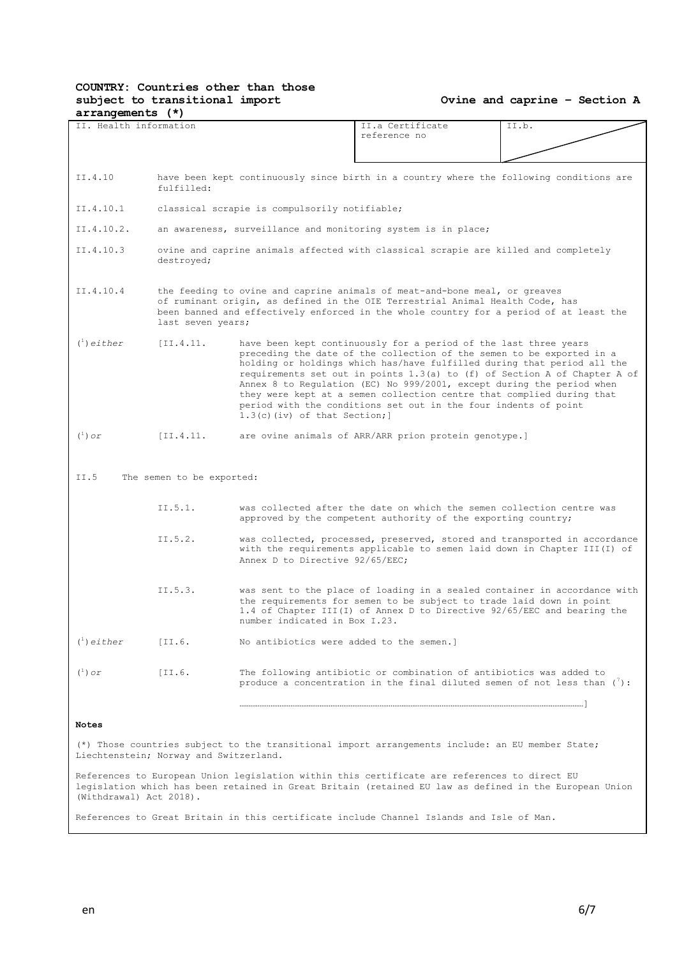#### **Ovine and caprine – Section A**

| $rac{1}{2}$                                                                                                                                |                                                                                                                                                                                                                                                                            |                                                                                                                                                                                                                                                                                                                                                                                                                                                                                                                                                          |                                                                                                                                                                                                                              |       |  |  |
|--------------------------------------------------------------------------------------------------------------------------------------------|----------------------------------------------------------------------------------------------------------------------------------------------------------------------------------------------------------------------------------------------------------------------------|----------------------------------------------------------------------------------------------------------------------------------------------------------------------------------------------------------------------------------------------------------------------------------------------------------------------------------------------------------------------------------------------------------------------------------------------------------------------------------------------------------------------------------------------------------|------------------------------------------------------------------------------------------------------------------------------------------------------------------------------------------------------------------------------|-------|--|--|
| II. Health information                                                                                                                     |                                                                                                                                                                                                                                                                            |                                                                                                                                                                                                                                                                                                                                                                                                                                                                                                                                                          | II.a Certificate<br>reference no                                                                                                                                                                                             | II.b. |  |  |
|                                                                                                                                            |                                                                                                                                                                                                                                                                            |                                                                                                                                                                                                                                                                                                                                                                                                                                                                                                                                                          |                                                                                                                                                                                                                              |       |  |  |
| II.4.10                                                                                                                                    | fulfilled:                                                                                                                                                                                                                                                                 |                                                                                                                                                                                                                                                                                                                                                                                                                                                                                                                                                          | have been kept continuously since birth in a country where the following conditions are                                                                                                                                      |       |  |  |
| II.4.10.1                                                                                                                                  |                                                                                                                                                                                                                                                                            | classical scrapie is compulsorily notifiable;                                                                                                                                                                                                                                                                                                                                                                                                                                                                                                            |                                                                                                                                                                                                                              |       |  |  |
| II.4.10.2.                                                                                                                                 |                                                                                                                                                                                                                                                                            |                                                                                                                                                                                                                                                                                                                                                                                                                                                                                                                                                          | an awareness, surveillance and monitoring system is in place;                                                                                                                                                                |       |  |  |
| II.4.10.3                                                                                                                                  | destroyed;                                                                                                                                                                                                                                                                 |                                                                                                                                                                                                                                                                                                                                                                                                                                                                                                                                                          | ovine and caprine animals affected with classical scrapie are killed and completely                                                                                                                                          |       |  |  |
| II.4.10.4                                                                                                                                  | the feeding to ovine and caprine animals of meat-and-bone meal, or greaves<br>of ruminant origin, as defined in the OIE Terrestrial Animal Health Code, has<br>been banned and effectively enforced in the whole country for a period of at least the<br>last seven years; |                                                                                                                                                                                                                                                                                                                                                                                                                                                                                                                                                          |                                                                                                                                                                                                                              |       |  |  |
| $\binom{1}{1}$ either                                                                                                                      | [II.4.11]                                                                                                                                                                                                                                                                  | have been kept continuously for a period of the last three years<br>preceding the date of the collection of the semen to be exported in a<br>holding or holdings which has/have fulfilled during that period all the<br>requirements set out in points 1.3(a) to (f) of Section A of Chapter A of<br>Annex 8 to Requlation (EC) No 999/2001, except during the period when<br>they were kept at a semen collection centre that complied during that<br>period with the conditions set out in the four indents of point<br>$1.3(c)$ (iv) of that Section; |                                                                                                                                                                                                                              |       |  |  |
| $(\cdot)$ or                                                                                                                               | [II.4.11]                                                                                                                                                                                                                                                                  | are ovine animals of ARR/ARR prion protein genotype.]                                                                                                                                                                                                                                                                                                                                                                                                                                                                                                    |                                                                                                                                                                                                                              |       |  |  |
| II.5                                                                                                                                       | The semen to be exported:                                                                                                                                                                                                                                                  |                                                                                                                                                                                                                                                                                                                                                                                                                                                                                                                                                          |                                                                                                                                                                                                                              |       |  |  |
|                                                                                                                                            |                                                                                                                                                                                                                                                                            |                                                                                                                                                                                                                                                                                                                                                                                                                                                                                                                                                          |                                                                                                                                                                                                                              |       |  |  |
|                                                                                                                                            | II.5.1.                                                                                                                                                                                                                                                                    |                                                                                                                                                                                                                                                                                                                                                                                                                                                                                                                                                          | was collected after the date on which the semen collection centre was<br>approved by the competent authority of the exporting country;                                                                                       |       |  |  |
|                                                                                                                                            | II.5.2.                                                                                                                                                                                                                                                                    | Annex D to Directive 92/65/EEC:                                                                                                                                                                                                                                                                                                                                                                                                                                                                                                                          | was collected, processed, preserved, stored and transported in accordance<br>with the requirements applicable to semen laid down in Chapter III(I) of                                                                        |       |  |  |
|                                                                                                                                            | II.5.3.                                                                                                                                                                                                                                                                    | number indicated in Box I.23.                                                                                                                                                                                                                                                                                                                                                                                                                                                                                                                            | was sent to the place of loading in a sealed container in accordance with<br>the requirements for semen to be subject to trade laid down in point<br>1.4 of Chapter III(I) of Annex D to Directive 92/65/EEC and bearing the |       |  |  |
| $\binom{1}{1}$ either                                                                                                                      | [II.6]                                                                                                                                                                                                                                                                     | No antibiotics were added to the semen.]                                                                                                                                                                                                                                                                                                                                                                                                                                                                                                                 |                                                                                                                                                                                                                              |       |  |  |
| $(\begin{smallmatrix}1\\1\end{smallmatrix})$ or                                                                                            | [II.6]                                                                                                                                                                                                                                                                     | The following antibiotic or combination of antibiotics was added to<br>produce a concentration in the final diluted semen of not less than $(')$ :                                                                                                                                                                                                                                                                                                                                                                                                       |                                                                                                                                                                                                                              |       |  |  |
| <b>Notes</b>                                                                                                                               |                                                                                                                                                                                                                                                                            |                                                                                                                                                                                                                                                                                                                                                                                                                                                                                                                                                          |                                                                                                                                                                                                                              |       |  |  |
| (*) Those countries subject to the transitional import arrangements include: an EU member State;<br>Liechtenstein; Norway and Switzerland. |                                                                                                                                                                                                                                                                            |                                                                                                                                                                                                                                                                                                                                                                                                                                                                                                                                                          |                                                                                                                                                                                                                              |       |  |  |

References to European Union legislation within this certificate are references to direct EU legislation which has been retained in Great Britain (retained EU law as defined in the European Union (Withdrawal) Act 2018).

References to Great Britain in this certificate include Channel Islands and Isle of Man.